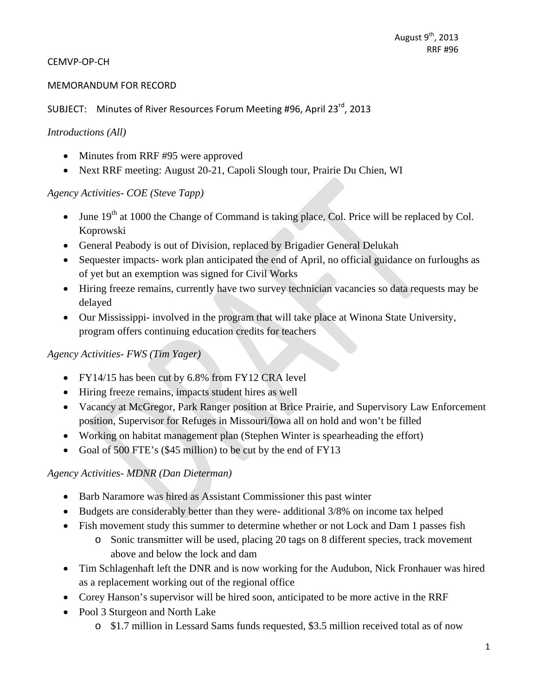#### CEMVP‐OP‐CH

#### MEMORANDUM FOR RECORD

SUBJECT: Minutes of River Resources Forum Meeting #96, April 23<sup>rd</sup>, 2013

#### *Introductions (All)*

- Minutes from RRF #95 were approved
- Next RRF meeting: August 20-21, Capoli Slough tour, Prairie Du Chien, WI

### *Agency Activities- COE (Steve Tapp)*

- $\bullet$  June 19<sup>th</sup> at 1000 the Change of Command is taking place, Col. Price will be replaced by Col. Koprowski
- General Peabody is out of Division, replaced by Brigadier General Delukah
- Sequester impacts- work plan anticipated the end of April, no official guidance on furloughs as of yet but an exemption was signed for Civil Works
- Hiring freeze remains, currently have two survey technician vacancies so data requests may be delayed
- Our Mississippi- involved in the program that will take place at Winona State University, program offers continuing education credits for teachers

## *Agency Activities- FWS (Tim Yager)*

- FY14/15 has been cut by 6.8% from FY12 CRA level
- Hiring freeze remains, impacts student hires as well
- Vacancy at McGregor, Park Ranger position at Brice Prairie, and Supervisory Law Enforcement position, Supervisor for Refuges in Missouri/Iowa all on hold and won't be filled
- Working on habitat management plan (Stephen Winter is spearheading the effort)
- Goal of 500 FTE's (\$45 million) to be cut by the end of FY13

## *Agency Activities- MDNR (Dan Dieterman)*

- Barb Naramore was hired as Assistant Commissioner this past winter
- Budgets are considerably better than they were- additional 3/8% on income tax helped
- Fish movement study this summer to determine whether or not Lock and Dam 1 passes fish
	- o Sonic transmitter will be used, placing 20 tags on 8 different species, track movement above and below the lock and dam
- Tim Schlagenhaft left the DNR and is now working for the Audubon, Nick Fronhauer was hired as a replacement working out of the regional office
- Corey Hanson's supervisor will be hired soon, anticipated to be more active in the RRF
- Pool 3 Sturgeon and North Lake
	- o \$1.7 million in Lessard Sams funds requested, \$3.5 million received total as of now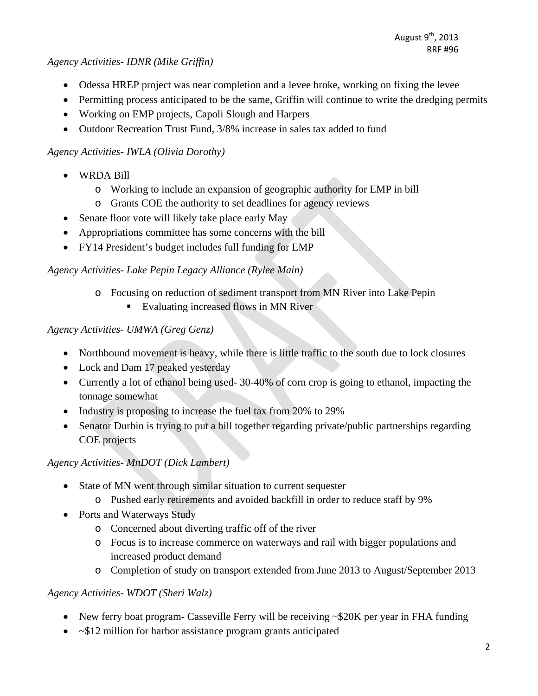#### *Agency Activities- IDNR (Mike Griffin)*

- Odessa HREP project was near completion and a levee broke, working on fixing the levee
- Permitting process anticipated to be the same, Griffin will continue to write the dredging permits
- Working on EMP projects, Capoli Slough and Harpers
- Outdoor Recreation Trust Fund, 3/8% increase in sales tax added to fund

## *Agency Activities- IWLA (Olivia Dorothy)*

- WRDA Bill
	- o Working to include an expansion of geographic authority for EMP in bill
	- o Grants COE the authority to set deadlines for agency reviews
- Senate floor vote will likely take place early May
- Appropriations committee has some concerns with the bill
- FY14 President's budget includes full funding for EMP

# *Agency Activities- Lake Pepin Legacy Alliance (Rylee Main)*

- o Focusing on reduction of sediment transport from MN River into Lake Pepin
	- Evaluating increased flows in MN River

## *Agency Activities- UMWA (Greg Genz)*

- Northbound movement is heavy, while there is little traffic to the south due to lock closures
- Lock and Dam 17 peaked yesterday
- Currently a lot of ethanol being used- 30-40% of corn crop is going to ethanol, impacting the tonnage somewhat
- Industry is proposing to increase the fuel tax from 20% to 29%
- Senator Durbin is trying to put a bill together regarding private/public partnerships regarding COE projects

# *Agency Activities- MnDOT (Dick Lambert)*

- State of MN went through similar situation to current sequester
	- o Pushed early retirements and avoided backfill in order to reduce staff by 9%
- Ports and Waterways Study
	- o Concerned about diverting traffic off of the river
	- o Focus is to increase commerce on waterways and rail with bigger populations and increased product demand
	- o Completion of study on transport extended from June 2013 to August/September 2013

## *Agency Activities- WDOT (Sheri Walz)*

- New ferry boat program- Casseville Ferry will be receiving ~\$20K per year in FHA funding
- $~\sim$ \$12 million for harbor assistance program grants anticipated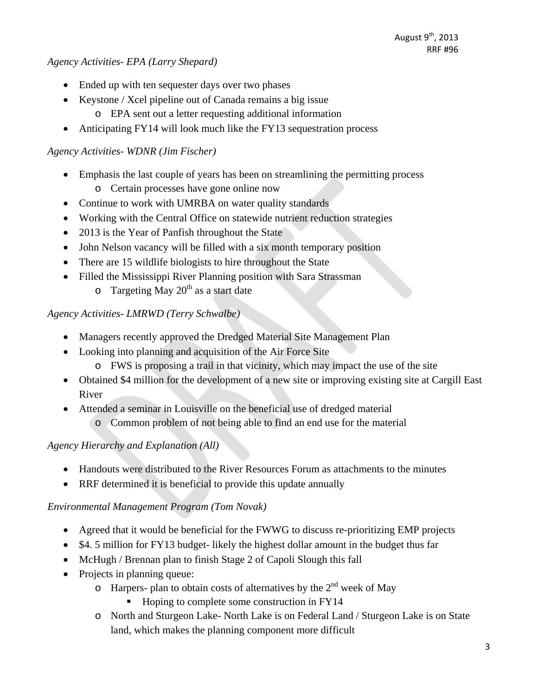*Agency Activities- EPA (Larry Shepard)* 

- Ended up with ten sequester days over two phases
- Keystone / Xcel pipeline out of Canada remains a big issue
	- o EPA sent out a letter requesting additional information
- Anticipating FY14 will look much like the FY13 sequestration process

## *Agency Activities- WDNR (Jim Fischer)*

- Emphasis the last couple of years has been on streamlining the permitting process
	- o Certain processes have gone online now
- Continue to work with UMRBA on water quality standards
- Working with the Central Office on statewide nutrient reduction strategies
- 2013 is the Year of Panfish throughout the State
- John Nelson vacancy will be filled with a six month temporary position
- There are 15 wildlife biologists to hire throughout the State
- Filled the Mississippi River Planning position with Sara Strassman
	- $\circ$  Targeting May 20<sup>th</sup> as a start date

*Agency Activities- LMRWD (Terry Schwalbe)* 

- Managers recently approved the Dredged Material Site Management Plan
- Looking into planning and acquisition of the Air Force Site
	- o FWS is proposing a trail in that vicinity, which may impact the use of the site
- Obtained \$4 million for the development of a new site or improving existing site at Cargill East River
- Attended a seminar in Louisville on the beneficial use of dredged material
	- o Common problem of not being able to find an end use for the material

# *Agency Hierarchy and Explanation (All)*

- Handouts were distributed to the River Resources Forum as attachments to the minutes
- RRF determined it is beneficial to provide this update annually

# *Environmental Management Program (Tom Novak)*

- Agreed that it would be beneficial for the FWWG to discuss re-prioritizing EMP projects
- \$4. 5 million for FY13 budget- likely the highest dollar amount in the budget thus far
- McHugh / Brennan plan to finish Stage 2 of Capoli Slough this fall
- Projects in planning queue:
	- $\circ$  Harpers- plan to obtain costs of alternatives by the  $2^{nd}$  week of May
		- Hoping to complete some construction in FY14
	- o North and Sturgeon Lake- North Lake is on Federal Land / Sturgeon Lake is on State land, which makes the planning component more difficult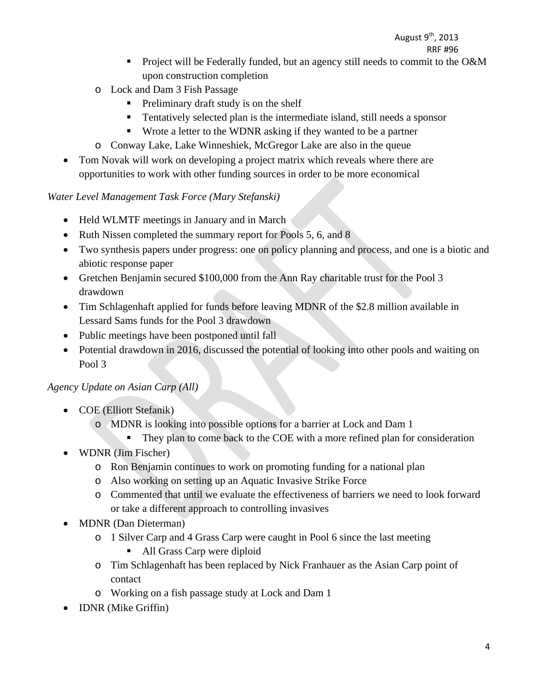# August  $9<sup>th</sup>$ , 2013

- RRF #96 **Project will be Federally funded, but an agency still needs to commit to the O&M** upon construction completion
	- o Lock and Dam 3 Fish Passage
		- **Preliminary draft study is on the shelf**
		- Tentatively selected plan is the intermediate island, still needs a sponsor
		- Wrote a letter to the WDNR asking if they wanted to be a partner
	- o Conway Lake, Lake Winneshiek, McGregor Lake are also in the queue
	- Tom Novak will work on developing a project matrix which reveals where there are opportunities to work with other funding sources in order to be more economical

### *Water Level Management Task Force (Mary Stefanski)*

- Held WLMTF meetings in January and in March
- Ruth Nissen completed the summary report for Pools 5, 6, and 8
- Two synthesis papers under progress: one on policy planning and process, and one is a biotic and abiotic response paper
- Gretchen Benjamin secured \$100,000 from the Ann Ray charitable trust for the Pool 3 drawdown
- Tim Schlagenhaft applied for funds before leaving MDNR of the \$2.8 million available in Lessard Sams funds for the Pool 3 drawdown
- Public meetings have been postponed until fall
- Potential drawdown in 2016, discussed the potential of looking into other pools and waiting on Pool 3

## *Agency Update on Asian Carp (All)*

- COE (Elliott Stefanik)
	- o MDNR is looking into possible options for a barrier at Lock and Dam 1
		- They plan to come back to the COE with a more refined plan for consideration
- WDNR (Jim Fischer)
	- o Ron Benjamin continues to work on promoting funding for a national plan
	- o Also working on setting up an Aquatic Invasive Strike Force
	- o Commented that until we evaluate the effectiveness of barriers we need to look forward or take a different approach to controlling invasives
- MDNR (Dan Dieterman)
	- o 1 Silver Carp and 4 Grass Carp were caught in Pool 6 since the last meeting
		- All Grass Carp were diploid
	- o Tim Schlagenhaft has been replaced by Nick Franhauer as the Asian Carp point of contact
	- o Working on a fish passage study at Lock and Dam 1
- **IDNR** (Mike Griffin)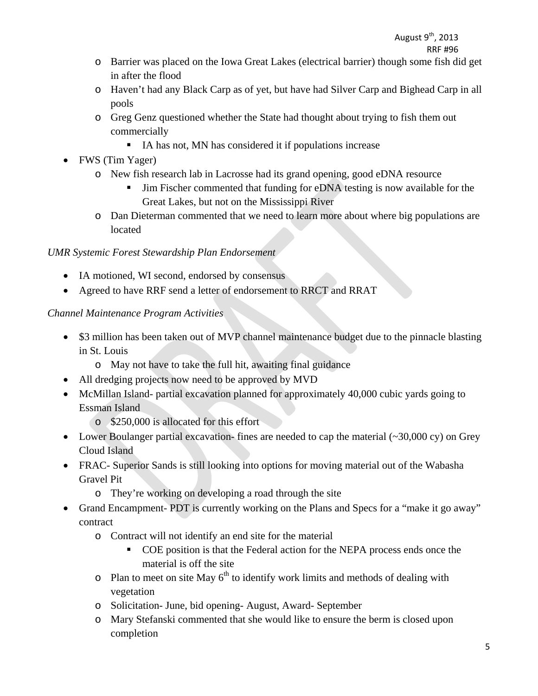- o Barrier was placed on the Iowa Great Lakes (electrical barrier) though some fish did get in after the flood
- o Haven't had any Black Carp as of yet, but have had Silver Carp and Bighead Carp in all pools
- o Greg Genz questioned whether the State had thought about trying to fish them out commercially
	- IA has not, MN has considered it if populations increase
- FWS (Tim Yager)
	- o New fish research lab in Lacrosse had its grand opening, good eDNA resource
		- Jim Fischer commented that funding for eDNA testing is now available for the Great Lakes, but not on the Mississippi River
	- o Dan Dieterman commented that we need to learn more about where big populations are located

# *UMR Systemic Forest Stewardship Plan Endorsement*

- IA motioned, WI second, endorsed by consensus
- Agreed to have RRF send a letter of endorsement to RRCT and RRAT

# *Channel Maintenance Program Activities*

- \$3 million has been taken out of MVP channel maintenance budget due to the pinnacle blasting in St. Louis
	- o May not have to take the full hit, awaiting final guidance
- All dredging projects now need to be approved by MVD
- McMillan Island- partial excavation planned for approximately 40,000 cubic vards going to Essman Island
	- o \$250,000 is allocated for this effort
- Lower Boulanger partial excavation-fines are needed to cap the material  $(\sim 30,000 \text{ cy})$  on Grey Cloud Island
- FRAC- Superior Sands is still looking into options for moving material out of the Wabasha Gravel Pit
	- o They're working on developing a road through the site
- Grand Encampment- PDT is currently working on the Plans and Specs for a "make it go away" contract
	- o Contract will not identify an end site for the material
		- COE position is that the Federal action for the NEPA process ends once the material is off the site
	- $\circ$  Plan to meet on site May 6<sup>th</sup> to identify work limits and methods of dealing with vegetation
	- o Solicitation- June, bid opening- August, Award- September
	- o Mary Stefanski commented that she would like to ensure the berm is closed upon completion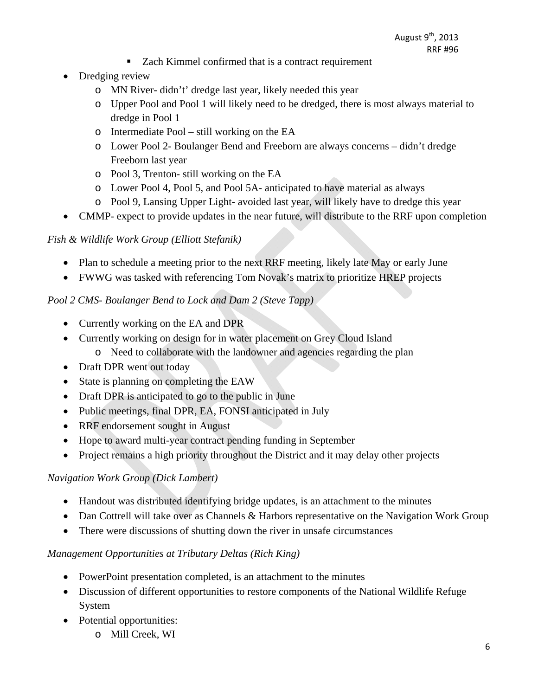- Zach Kimmel confirmed that is a contract requirement
- Dredging review
	- o MN River- didn't' dredge last year, likely needed this year
	- o Upper Pool and Pool 1 will likely need to be dredged, there is most always material to dredge in Pool 1
	- o Intermediate Pool still working on the EA
	- o Lower Pool 2- Boulanger Bend and Freeborn are always concerns didn't dredge Freeborn last year
	- o Pool 3, Trenton- still working on the EA
	- o Lower Pool 4, Pool 5, and Pool 5A- anticipated to have material as always
	- o Pool 9, Lansing Upper Light- avoided last year, will likely have to dredge this year
- CMMP- expect to provide updates in the near future, will distribute to the RRF upon completion

## *Fish & Wildlife Work Group (Elliott Stefanik)*

- Plan to schedule a meeting prior to the next RRF meeting, likely late May or early June
- FWWG was tasked with referencing Tom Novak's matrix to prioritize HREP projects

## *Pool 2 CMS- Boulanger Bend to Lock and Dam 2 (Steve Tapp)*

- Currently working on the EA and DPR
- Currently working on design for in water placement on Grey Cloud Island
	- o Need to collaborate with the landowner and agencies regarding the plan
- Draft DPR went out today
- State is planning on completing the EAW
- Draft DPR is anticipated to go to the public in June
- Public meetings, final DPR, EA, FONSI anticipated in July
- RRF endorsement sought in August
- Hope to award multi-year contract pending funding in September
- Project remains a high priority throughout the District and it may delay other projects

## *Navigation Work Group (Dick Lambert)*

- Handout was distributed identifying bridge updates, is an attachment to the minutes
- Dan Cottrell will take over as Channels & Harbors representative on the Navigation Work Group
- There were discussions of shutting down the river in unsafe circumstances

## *Management Opportunities at Tributary Deltas (Rich King)*

- PowerPoint presentation completed, is an attachment to the minutes
- Discussion of different opportunities to restore components of the National Wildlife Refuge System
- Potential opportunities:
	- o Mill Creek, WI